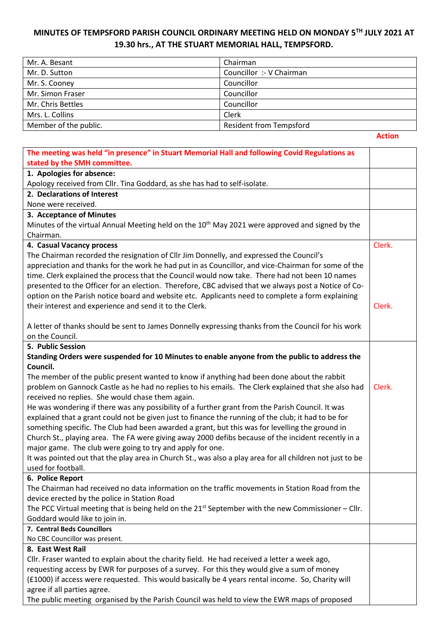## **MINUTES OF TEMPSFORD PARISH COUNCIL ORDINARY MEETING HELD ON MONDAY 5 TH JULY 2021 AT 19.30 hrs., AT THE STUART MEMORIAL HALL, TEMPSFORD.**

| Mr. A. Besant         | Chairman                       |
|-----------------------|--------------------------------|
| Mr. D. Sutton         | Councillor :- V Chairman       |
| Mr. S. Cooney         | Councillor                     |
| Mr. Simon Fraser      | Councillor                     |
| Mr. Chris Bettles     | Councillor                     |
| Mrs. L. Collins       | Clerk                          |
| Member of the public. | <b>Resident from Tempsford</b> |

 **Action** 

| The meeting was held "in presence" in Stuart Memorial Hall and following Covid Regulations as               |        |
|-------------------------------------------------------------------------------------------------------------|--------|
| stated by the SMH committee.                                                                                |        |
| 1. Apologies for absence:                                                                                   |        |
| Apology received from Cllr. Tina Goddard, as she has had to self-isolate.                                   |        |
| 2. Declarations of Interest                                                                                 |        |
| None were received.                                                                                         |        |
| 3. Acceptance of Minutes                                                                                    |        |
| Minutes of the virtual Annual Meeting held on the 10 <sup>th</sup> May 2021 were approved and signed by the |        |
| Chairman.                                                                                                   |        |
|                                                                                                             |        |
| 4. Casual Vacancy process                                                                                   | Clerk. |
| The Chairman recorded the resignation of Cllr Jim Donnelly, and expressed the Council's                     |        |
| appreciation and thanks for the work he had put in as Councillor, and vice-Chairman for some of the         |        |
| time. Clerk explained the process that the Council would now take. There had not been 10 names              |        |
| presented to the Officer for an election. Therefore, CBC advised that we always post a Notice of Co-        |        |
| option on the Parish notice board and website etc. Applicants need to complete a form explaining            |        |
| their interest and experience and send it to the Clerk.                                                     | Clerk. |
|                                                                                                             |        |
| A letter of thanks should be sent to James Donnelly expressing thanks from the Council for his work         |        |
| on the Council.                                                                                             |        |
| 5. Public Session                                                                                           |        |
| Standing Orders were suspended for 10 Minutes to enable anyone from the public to address the               |        |
| Council.                                                                                                    |        |
| The member of the public present wanted to know if anything had been done about the rabbit                  |        |
| problem on Gannock Castle as he had no replies to his emails. The Clerk explained that she also had         | Clerk. |
| received no replies. She would chase them again.                                                            |        |
| He was wondering if there was any possibility of a further grant from the Parish Council. It was            |        |
| explained that a grant could not be given just to finance the running of the club; it had to be for         |        |
| something specific. The Club had been awarded a grant, but this was for levelling the ground in             |        |
| Church St., playing area. The FA were giving away 2000 defibs because of the incident recently in a         |        |
| major game. The club were going to try and apply for one.                                                   |        |
| It was pointed out that the play area in Church St., was also a play area for all children not just to be   |        |
| used for football.                                                                                          |        |
| 6. Police Report                                                                                            |        |
| The Chairman had received no data information on the traffic movements in Station Road from the             |        |
| device erected by the police in Station Road                                                                |        |
| The PCC Virtual meeting that is being held on the $21st$ September with the new Commissioner – Cllr.        |        |
| Goddard would like to join in.                                                                              |        |
| 7. Central Beds Councillors                                                                                 |        |
| No CBC Councillor was present.                                                                              |        |
| 8. East West Rail                                                                                           |        |
| Cllr. Fraser wanted to explain about the charity field. He had received a letter a week ago,                |        |
| requesting access by EWR for purposes of a survey. For this they would give a sum of money                  |        |
| (£1000) if access were requested. This would basically be 4 years rental income. So, Charity will           |        |
| agree if all parties agree.                                                                                 |        |
| The public meeting organised by the Parish Council was held to view the EWR maps of proposed                |        |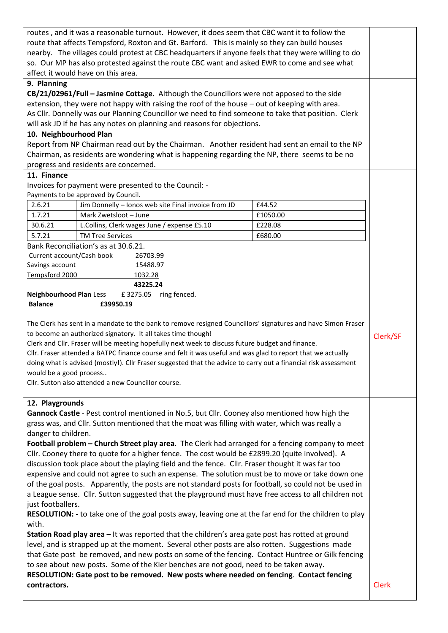|                                                                                                | routes, and it was a reasonable turnout. However, it does seem that CBC want it to follow the                   |          |              |  |
|------------------------------------------------------------------------------------------------|-----------------------------------------------------------------------------------------------------------------|----------|--------------|--|
| route that affects Tempsford, Roxton and Gt. Barford. This is mainly so they can build houses  |                                                                                                                 |          |              |  |
|                                                                                                | nearby. The villages could protest at CBC headquarters if anyone feels that they were willing to do             |          |              |  |
|                                                                                                | so. Our MP has also protested against the route CBC want and asked EWR to come and see what                     |          |              |  |
|                                                                                                | affect it would have on this area.                                                                              |          |              |  |
| 9. Planning                                                                                    |                                                                                                                 |          |              |  |
|                                                                                                | CB/21/02961/Full - Jasmine Cottage. Although the Councillors were not apposed to the side                       |          |              |  |
|                                                                                                | extension, they were not happy with raising the roof of the house - out of keeping with area.                   |          |              |  |
|                                                                                                | As Cllr. Donnelly was our Planning Councillor we need to find someone to take that position. Clerk              |          |              |  |
|                                                                                                | will ask JD if he has any notes on planning and reasons for objections.                                         |          |              |  |
| 10. Neighbourhood Plan                                                                         |                                                                                                                 |          |              |  |
| Report from NP Chairman read out by the Chairman. Another resident had sent an email to the NP |                                                                                                                 |          |              |  |
| Chairman, as residents are wondering what is happening regarding the NP, there seems to be no  |                                                                                                                 |          |              |  |
|                                                                                                | progress and residents are concerned.                                                                           |          |              |  |
| 11. Finance                                                                                    |                                                                                                                 |          |              |  |
|                                                                                                | Invoices for payment were presented to the Council: -                                                           |          |              |  |
| Payments to be approved by Council.                                                            |                                                                                                                 |          |              |  |
| 2.6.21                                                                                         | Jim Donnelly - Ionos web site Final invoice from JD                                                             | £44.52   |              |  |
| 1.7.21                                                                                         | Mark Zwetsloot - June                                                                                           | £1050.00 |              |  |
| 30.6.21                                                                                        | L.Collins, Clerk wages June / expense £5.10                                                                     | £228.08  |              |  |
| 5.7.21                                                                                         | <b>TM Tree Services</b>                                                                                         | £680.00  |              |  |
|                                                                                                | Bank Reconciliation's as at 30.6.21.                                                                            |          |              |  |
| Current account/Cash book                                                                      | 26703.99                                                                                                        |          |              |  |
| Savings account                                                                                | 15488.97                                                                                                        |          |              |  |
| Tempsford 2000                                                                                 | 1032.28                                                                                                         |          |              |  |
|                                                                                                | 43225.24                                                                                                        |          |              |  |
| <b>Neighbourhood Plan Less</b>                                                                 | £3275.05 ring fenced.                                                                                           |          |              |  |
| <b>Balance</b>                                                                                 | £39950.19                                                                                                       |          |              |  |
|                                                                                                |                                                                                                                 |          |              |  |
|                                                                                                |                                                                                                                 |          |              |  |
|                                                                                                | The Clerk has sent in a mandate to the bank to remove resigned Councillors' signatures and have Simon Fraser    |          |              |  |
|                                                                                                | to become an authorized signatory. It all takes time though!                                                    |          | Clerk/SF     |  |
|                                                                                                | Clerk and Cllr. Fraser will be meeting hopefully next week to discuss future budget and finance.                |          |              |  |
|                                                                                                | Cllr. Fraser attended a BATPC finance course and felt it was useful and was glad to report that we actually     |          |              |  |
|                                                                                                | doing what is advised (mostly!). Cllr Fraser suggested that the advice to carry out a financial risk assessment |          |              |  |
| would be a good process                                                                        |                                                                                                                 |          |              |  |
|                                                                                                | Cllr. Sutton also attended a new Councillor course.                                                             |          |              |  |
|                                                                                                |                                                                                                                 |          |              |  |
| 12. Playgrounds                                                                                |                                                                                                                 |          |              |  |
|                                                                                                | Gannock Castle - Pest control mentioned in No.5, but Cllr. Cooney also mentioned how high the                   |          |              |  |
|                                                                                                | grass was, and Cllr. Sutton mentioned that the moat was filling with water, which was really a                  |          |              |  |
| danger to children.                                                                            |                                                                                                                 |          |              |  |
|                                                                                                | Football problem - Church Street play area. The Clerk had arranged for a fencing company to meet                |          |              |  |
|                                                                                                | Cllr. Cooney there to quote for a higher fence. The cost would be £2899.20 (quite involved). A                  |          |              |  |
|                                                                                                | discussion took place about the playing field and the fence. Cllr. Fraser thought it was far too                |          |              |  |
|                                                                                                | expensive and could not agree to such an expense. The solution must be to move or take down one                 |          |              |  |
|                                                                                                | of the goal posts. Apparently, the posts are not standard posts for football, so could not be used in           |          |              |  |
|                                                                                                | a League sense. Cllr. Sutton suggested that the playground must have free access to all children not            |          |              |  |
| just footballers.                                                                              |                                                                                                                 |          |              |  |
|                                                                                                | RESOLUTION: - to take one of the goal posts away, leaving one at the far end for the children to play           |          |              |  |
| with.                                                                                          |                                                                                                                 |          |              |  |
|                                                                                                | Station Road play area - It was reported that the children's area gate post has rotted at ground                |          |              |  |
|                                                                                                | level, and is strapped up at the moment. Several other posts are also rotten. Suggestions made                  |          |              |  |
|                                                                                                | that Gate post be removed, and new posts on some of the fencing. Contact Huntree or Gilk fencing                |          |              |  |
|                                                                                                | to see about new posts. Some of the Kier benches are not good, need to be taken away.                           |          |              |  |
| contractors.                                                                                   | RESOLUTION: Gate post to be removed. New posts where needed on fencing. Contact fencing                         |          | <b>Clerk</b> |  |